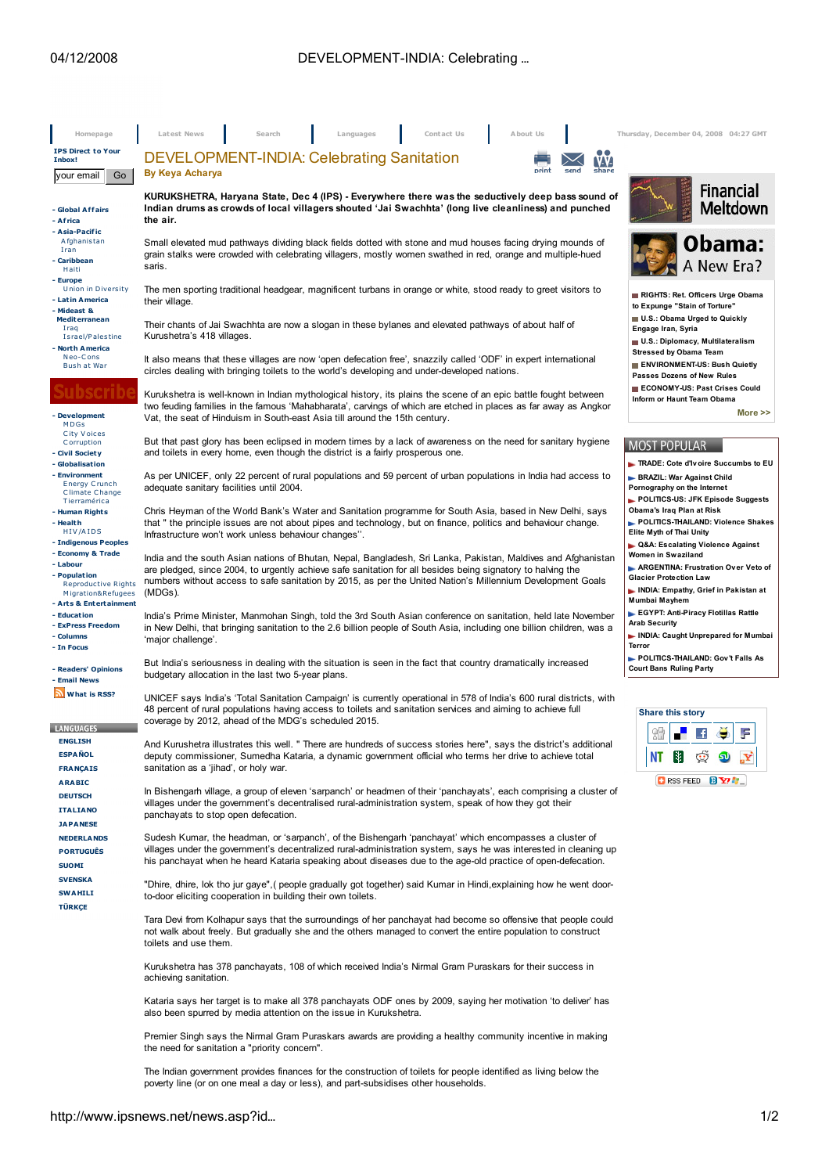| Homepage                                                                                          | Latest News<br>Search<br>Languages<br>Contact Us<br>About Us                                                                                                                                                                                                                                                                                          | Thursday, December 04, 2008 04:27 GMT                                                                                                                                                                                                                                                   |
|---------------------------------------------------------------------------------------------------|-------------------------------------------------------------------------------------------------------------------------------------------------------------------------------------------------------------------------------------------------------------------------------------------------------------------------------------------------------|-----------------------------------------------------------------------------------------------------------------------------------------------------------------------------------------------------------------------------------------------------------------------------------------|
| <b>IPS Direct to Your</b><br>Inbox!                                                               | <b>DEVELOPMENT-INDIA: Celebrating Sanitation</b><br>IV-V-                                                                                                                                                                                                                                                                                             |                                                                                                                                                                                                                                                                                         |
| Go<br>your email                                                                                  | share<br>print<br><b>By Keya Acharya</b>                                                                                                                                                                                                                                                                                                              |                                                                                                                                                                                                                                                                                         |
| - Global Affairs<br>- Africa                                                                      | KURUKSHETRA, Haryana State, Dec 4 (IPS) - Everywhere there was the seductively deep bass sound of<br>Indian drums as crowds of local villagers shouted 'Jai Swachhta' (long live cleanliness) and punched<br>the air.                                                                                                                                 | <b>Financial</b><br><b>Meltdown</b>                                                                                                                                                                                                                                                     |
| - Asia-Pacific<br>Afghanistan<br>Iran<br>- Caribbean<br>Haiti                                     | Small elevated mud pathways dividing black fields dotted with stone and mud houses facing drying mounds of<br>grain stalks were crowded with celebrating villagers, mostly women swathed in red, orange and multiple-hued<br>saris.                                                                                                                   | Obama:<br>A New Era?                                                                                                                                                                                                                                                                    |
| - Europe<br><b>Union in Diversity</b><br>- Latin America<br>- Mideast &                           | The men sporting traditional headgear, magnificent turbans in orange or white, stood ready to greet visitors to<br>their village.                                                                                                                                                                                                                     | RIGHTS: Ret. Officers Urge Obama<br>to Expunge "Stain of Torture"                                                                                                                                                                                                                       |
| <b>Mediterranean</b><br>Iraq<br>Israel/Palestine<br>- North America                               | Their chants of Jai Swachhta are now a slogan in these bylanes and elevated pathways of about half of<br>Kurushetra's 418 villages.                                                                                                                                                                                                                   | U.S.: Obama Urged to Quickly<br>Engage Iran, Syria<br>U.S.: Diplomacy, Multilateralism<br><b>Stressed by Obama Team</b>                                                                                                                                                                 |
| Neo-Cons<br>Bush at War                                                                           | It also means that these villages are now 'open defecation free', snazzily called 'ODF' in expert international<br>circles dealing with bringing toilets to the world's developing and under-developed nations.                                                                                                                                       | ENVIRONMENT-US: Bush Quietly<br>Passes Dozens of New Rules<br>ECONOMY-US: Past Crises Could                                                                                                                                                                                             |
| - Development<br>MDGs                                                                             | Kurukshetra is well-known in Indian mythological history, its plains the scene of an epic battle fought between<br>two feuding families in the famous 'Mahabharata', carvings of which are etched in places as far away as Angkor<br>Vat, the seat of Hinduism in South-east Asia till around the 15th century.                                       | Inform or Haunt Team Obama<br>More $\gg$                                                                                                                                                                                                                                                |
| City Voices<br>Corruption<br>- Civil Society<br>- Globalisation                                   | But that past glory has been eclipsed in modern times by a lack of awareness on the need for sanitary hygiene<br>and toilets in every home, even though the district is a fairly prosperous one.                                                                                                                                                      | <b>MOST POPULAR</b><br>TRADE: Cote d'Ivoire Succumbs to EU                                                                                                                                                                                                                              |
| - Environment<br><b>Energy Crunch</b><br>Climate Change<br>Tierramérica                           | As per UNICEF, only 22 percent of rural populations and 59 percent of urban populations in India had access to<br>adequate sanitary facilities until 2004.                                                                                                                                                                                            | BRAZIL: War Against Child<br>Pornography on the Internet<br>POLITICS-US: JFK Episode Suggests                                                                                                                                                                                           |
| - Human Rights<br>- Health<br>HIV/AIDS<br>- Indigenous Peoples                                    | Chris Heyman of the World Bank's Water and Sanitation programme for South Asia, based in New Delhi, says<br>that " the principle issues are not about pipes and technology, but on finance, politics and behaviour change.<br>Infrastructure won't work unless behaviour changes".                                                                    | Obama's Iraq Plan at Risk<br>POLITICS-THAILAND: Violence Shakes<br>Elite Myth of Thai Unity<br>► Q&A: Escalating Violence Against<br>Women in Swaziland<br>ARGENTINA: Frustration Over Veto of<br><b>Glacier Protection Law</b><br>NDIA: Empathy, Grief in Pakistan at<br>Mumbai Mayhem |
| - Economy & Trade<br>- Labour<br>- Population<br><b>Reproductive Rights</b><br>Migration&Refugees | India and the south Asian nations of Bhutan, Nepal, Bangladesh, Sri Lanka, Pakistan, Maldives and Afghanistan<br>are pledged, since 2004, to urgently achieve safe sanitation for all besides being signatory to halving the<br>numbers without access to safe sanitation by 2015, as per the United Nation's Millennium Development Goals<br>(MDGs). |                                                                                                                                                                                                                                                                                         |
| - Arts & Entertainment<br>- Education<br>- ExPress Freedom<br>- Columns<br>- In Focus             | India's Prime Minister, Manmohan Singh, told the 3rd South Asian conference on sanitation, held late November<br>in New Delhi, that bringing sanitation to the 2.6 billion people of South Asia, including one billion children, was a<br>'major challenge'.                                                                                          | EGYPT: Anti-Piracy Flotillas Rattle<br><b>Arab Security</b><br>INDIA: Caught Unprepared for Mumbai<br>Terror                                                                                                                                                                            |
| - Readers' Opinions<br>- Email News                                                               | But India's seriousness in dealing with the situation is seen in the fact that country dramatically increased<br>budgetary allocation in the last two 5-year plans.                                                                                                                                                                                   | POLITICS-THAILAND: Gov't Falls As<br><b>Court Bans Ruling Party</b>                                                                                                                                                                                                                     |
| What is RSS?<br><b>LANGUAGES</b>                                                                  | UNICEF says India's 'Total Sanitation Campaign' is currently operational in 578 of India's 600 rural districts, with<br>48 percent of rural populations having access to toilets and sanitation services and aiming to achieve full<br>coverage by 2012, ahead of the MDG's scheduled 2015.                                                           | <b>Share this story</b><br>ЯH                                                                                                                                                                                                                                                           |
| ENGI<br><b>ESPAÑOL</b><br><b>FRANÇAIS</b>                                                         | And Kurushetra illustrates this well. " There are hundreds of success stories here", says the district's additional<br>deputy commissioner, Sumedha Kataria, a dynamic government official who terms her drive to achieve total<br>sanitation as a 'jihad', or holy war.                                                                              | ₩<br>ΝT<br><b>CIRSS FEED BY AT</b>                                                                                                                                                                                                                                                      |
| <b>ARABIC</b><br><b>DEUTSCH</b><br><b>ITALIANO</b><br><b>JAPANESE</b>                             | In Bishengarh village, a group of eleven 'sarpanch' or headmen of their 'panchayats', each comprising a cluster of<br>villages under the government's decentralised rural-administration system, speak of how they got their<br>panchayats to stop open defecation.                                                                                   |                                                                                                                                                                                                                                                                                         |
| <b>NEDERLANDS</b><br><b>PORTUGUÊS</b><br><b>SUOMI</b>                                             | Sudesh Kumar, the headman, or 'sarpanch', of the Bishengarh 'panchayat' which encompasses a cluster of<br>villages under the government's decentralized rural-administration system, says he was interested in cleaning up<br>his panchayat when he heard Kataria speaking about diseases due to the age-old practice of open-defecation.             |                                                                                                                                                                                                                                                                                         |
| <b>SVENSKA</b><br><b>SWAHILI</b><br><b>TÜRKÇE</b>                                                 | "Dhire, dhire, lok tho jur gaye", (people gradually got together) said Kumar in Hindi, explaining how he went door-<br>to-door eliciting cooperation in building their own toilets.                                                                                                                                                                   |                                                                                                                                                                                                                                                                                         |
|                                                                                                   | Tara Devi from Kolhapur says that the surroundings of her panchayat had become so offensive that people could<br>not walk about freely. But gradually she and the others managed to convert the entire population to construct<br>toilets and use them.                                                                                               |                                                                                                                                                                                                                                                                                         |
|                                                                                                   | Kurukshetra has 378 panchayats, 108 of which received India's Nirmal Gram Puraskars for their success in<br>achieving sanitation.                                                                                                                                                                                                                     |                                                                                                                                                                                                                                                                                         |
|                                                                                                   | Kataria says her target is to make all 378 panchayats ODF ones by 2009, saying her motivation 'to deliver' has<br>also been spurred by media attention on the issue in Kurukshetra.                                                                                                                                                                   |                                                                                                                                                                                                                                                                                         |
|                                                                                                   | Premier Singh says the Nirmal Gram Puraskars awards are providing a healthy community incentive in making<br>the need for sanitation a "priority concern".                                                                                                                                                                                            |                                                                                                                                                                                                                                                                                         |

The Indian government provides finances for the construction of toilets for people identified as living below the poverty line (or on one meal a day or less), and part-subsidises other households.